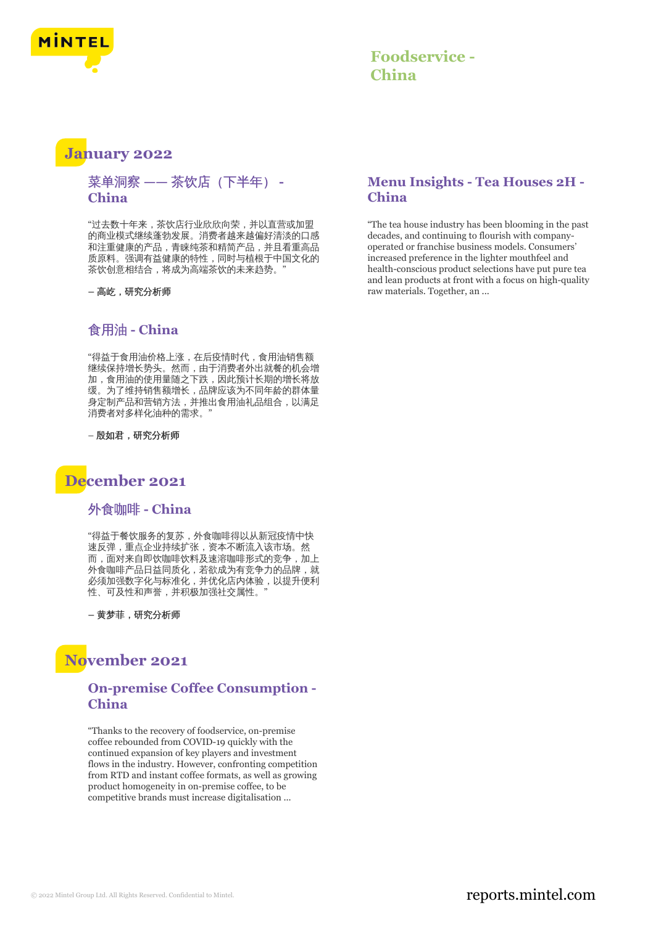

### **Foodservice - China**

### **January 2022**

#### 菜单洞察 **——** 茶饮店(下半年) **- China**

"过去数十年来,茶饮店行业欣欣向荣,并以直营或加盟 的商业模式继续蓬勃发展。消费者越来越偏好清淡的口感 和注重健康的产品,青睐纯茶和精简产品,并且看重高品 质原料。强调有益健康的特性,同时与植根于中国文化的 茶饮创意相结合, 将成为高端茶饮的未来趋势。

**–** 高屹,研究分析师

#### 食用油 **- China**

"得益于食用油价格上涨,在后疫情时代,食用油销售额 继续保持增长势头。然而,由于消费者外出就餐的机会增 加,食用油的使用量随之下跌,因此预计长期的增长将放 缓。为了维持销售额增长,品牌应该为不同年龄的群体量 身定制产品和营销方法,并推出食用油礼品组合,以满足 消费者对多样化油种的需求。

– 殷如君,研究分析师

## **December 2021**

外食咖啡 **- China**

"得益于餐饮服务的复苏,外食咖啡得以从新冠疫情中快 速反弹,重点企业持续扩张,资本不断流入该市场。然 而,面对来自即饮咖啡饮料及速溶咖啡形式的竞争,加上 外食咖啡产品日益同质化,若欲成为有竞争力的品牌,就 必须加强数字化与标准化,并优化店内体验,以提升便利 性、可及性和声誉,并积极加强社交属性。"

**–** 黄梦菲,研究分析师

## **November 2021**

#### **On-premise Coffee Consumption - China**

"Thanks to the recovery of foodservice, on-premise coffee rebounded from COVID-19 quickly with the continued expansion of key players and investment flows in the industry. However, confronting competition from RTD and instant coffee formats, as well as growing product homogeneity in on-premise coffee, to be competitive brands must increase digitalisation ...

#### **Menu Insights - Tea Houses 2H - China**

"The tea house industry has been blooming in the past decades, and continuing to flourish with companyoperated or franchise business models. Consumers' increased preference in the lighter mouthfeel and health-conscious product selections have put pure tea and lean products at front with a focus on high-quality raw materials. Together, an ...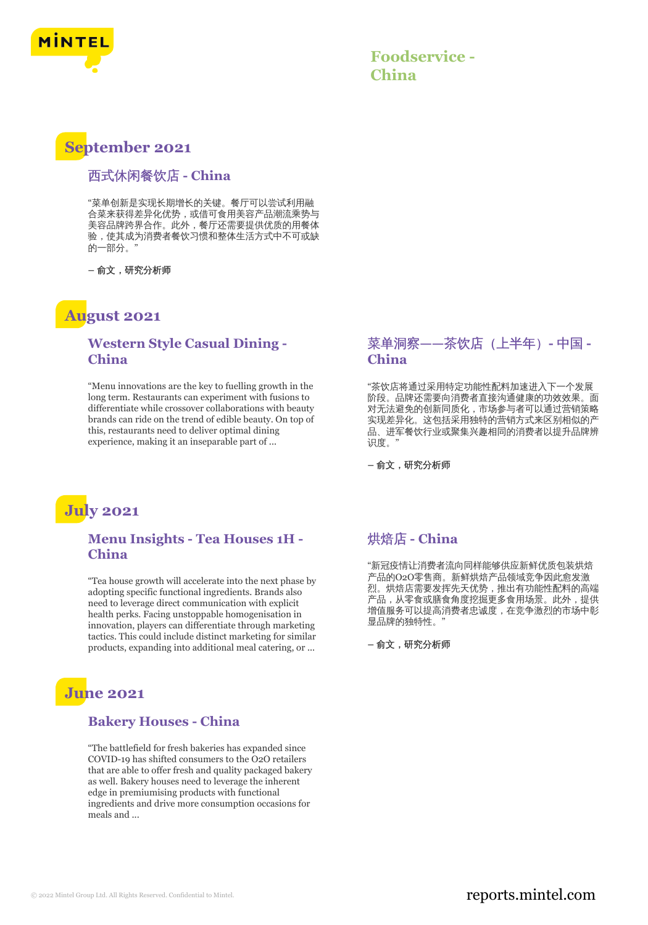

## **September 2021**

#### 西式休闲餐饮店 **- China**

"菜单创新是实现长期增长的关键。餐厅可以尝试利用融 合菜来获得差异化优势,或借可食用美容产品潮流乘势与 美容品牌跨界合作。此外,餐厅还需要提供优质的用餐体 验,使其成为消费者餐饮习惯和整体生活方式中不可或缺 的一部分。"

**–** 俞文,研究分析师

### **August 2021**

#### **Western Style Casual Dining - China**

"Menu innovations are the key to fuelling growth in the long term. Restaurants can experiment with fusions to differentiate while crossover collaborations with beauty brands can ride on the trend of edible beauty. On top of this, restaurants need to deliver optimal dining experience, making it an inseparable part of ...

#### 菜单洞察**——**茶饮店(上半年)**-** 中国 **- China**

"茶饮店将通过采用特定功能性配料加速进入下一个发展 阶段。品牌还需要向消费者直接沟通健康的功效效果。面 对无法避免的创新同质化,市场参与者可以通过营销策略 实现差异化。这包括采用独特的营销方式来区别相似的产 品、进军餐饮行业或聚集兴趣相同的消费者以提升品牌辨 识度。"

**–** 俞文,研究分析师



#### **Menu Insights - Tea Houses 1H - China**

"Tea house growth will accelerate into the next phase by adopting specific functional ingredients. Brands also need to leverage direct communication with explicit health perks. Facing unstoppable homogenisation in innovation, players can differentiate through marketing tactics. This could include distinct marketing for similar products, expanding into additional meal catering, or ...

# **June 2021**

#### **Bakery Houses - China**

"The battlefield for fresh bakeries has expanded since COVID-19 has shifted consumers to the O2O retailers that are able to offer fresh and quality packaged bakery as well. Bakery houses need to leverage the inherent edge in premiumising products with functional ingredients and drive more consumption occasions for meals and ...

#### 烘焙店 **- China**

"新冠疫情让消费者流向同样能够供应新鲜优质包装烘焙 产品的O2O零售商。新鲜烘焙产品领域竞争因此愈发激 烈。烘焙店需要发挥先天优势,推出有功能性配料的高端 产品,从零食或膳食角度挖掘更多食用场景。此外,提供 增值服务可以提高消费者忠诚度,在竞争激烈的市场中彰 显品牌的独特性。"

**–** 俞文,研究分析师